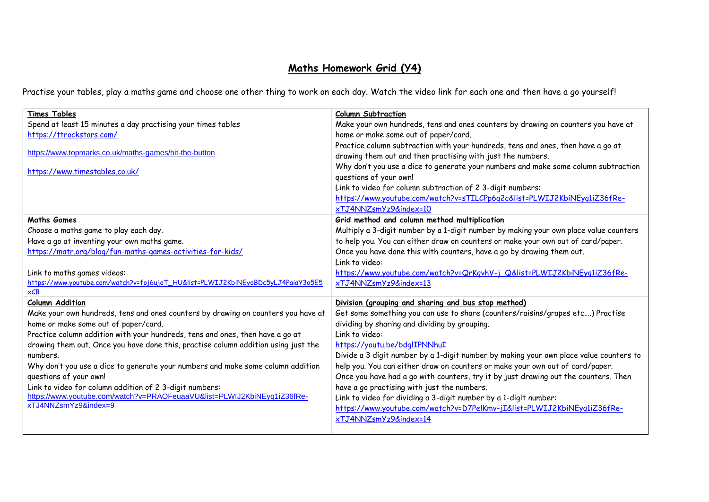## **Maths Homework Grid (Y4)**

Practise your tables, play a maths game and choose one other thing to work on each day. Watch the video link for each one and then have a go yourself!

| <b>Times Tables</b>                                                                | <b>Column Subtraction</b>                                                                                                                       |
|------------------------------------------------------------------------------------|-------------------------------------------------------------------------------------------------------------------------------------------------|
| Spend at least 15 minutes a day practising your times tables                       | Make your own hundreds, tens and ones counters by drawing on counters you have at                                                               |
| https://ttrockstars.com/                                                           | home or make some out of paper/card.                                                                                                            |
| https://www.topmarks.co.uk/maths-games/hit-the-button                              | Practice column subtraction with your hundreds, tens and ones, then have a go at<br>drawing them out and then practising with just the numbers. |
| https://www.timestables.co.uk/                                                     | Why don't you use a dice to generate your numbers and make some column subtraction<br>questions of your own!                                    |
|                                                                                    | Link to video for column subtraction of 2 3-digit numbers:                                                                                      |
|                                                                                    | https://www.youtube.com/watch?v=sTILCPp6q2c&list=PLWIJ2KbiNEyq1iZ36fRe-                                                                         |
|                                                                                    | xTJ4NNZsmYz9&index=10                                                                                                                           |
| <b>Maths Games</b>                                                                 | Grid method and column method multiplication                                                                                                    |
| Choose a maths game to play each day.                                              | Multiply a 3-digit number by a 1-digit number by making your own place value counters                                                           |
| Have a go at inventing your own maths game.                                        | to help you. You can either draw on counters or make your own out of card/paper.                                                                |
| https://matr.org/blog/fun-maths-games-activities-for-kids/                         | Once you have done this with counters, have a go by drawing them out.                                                                           |
|                                                                                    | Link to video:                                                                                                                                  |
| Link to maths games videos:                                                        | https://www.youtube.com/watch?v=QrKqvhV-j_Q&list=PLWIJ2KbiNEyq1iZ36fRe-                                                                         |
| https://www.youtube.com/watch?v=foj6ujoT_HU&list=PLWIJ2KbiNEyoBDc5yLJ4PaiaY3o5E5   | xTJ4NNZsmYz9&index=13                                                                                                                           |
| $\times$ CB                                                                        |                                                                                                                                                 |
| <b>Column Addition</b>                                                             | Division (grouping and sharing and bus stop method)                                                                                             |
| Make your own hundreds, tens and ones counters by drawing on counters you have at  | Get some something you can use to share (counters/raisins/grapes etc) Practise                                                                  |
| home or make some out of paper/card.                                               | dividing by sharing and dividing by grouping.                                                                                                   |
| Practice column addition with your hundreds, tens and ones, then have a go at      | Link to video:                                                                                                                                  |
| drawing them out. Once you have done this, practise column addition using just the | https://youtu.be/bdglIPNNhuI                                                                                                                    |
| numbers.                                                                           | Divide a 3 digit number by a 1-digit number by making your own place value counters to                                                          |
| Why don't you use a dice to generate your numbers and make some column addition    | help you. You can either draw on counters or make your own out of card/paper.                                                                   |
| questions of your own!                                                             | Once you have had a go with counters, try it by just drawing out the counters. Then                                                             |
| Link to video for column addition of 2 3-digit numbers:                            | have a go practising with just the numbers.                                                                                                     |
| https://www.youtube.com/watch?v=PRAOFeuaaVU&list=PLWIJ2KbiNEyq1iZ36fRe-            | Link to video for dividing a 3-digit number by a 1-digit number:                                                                                |
| xTJ4NNZsmYz9&index=9                                                               | https://www.youtube.com/watch?v=D7PelKmv-jI&list=PLWIJ2KbiNEyq1iZ36fRe-                                                                         |
|                                                                                    | xTJ4NNZsmYz9&index=14                                                                                                                           |
|                                                                                    |                                                                                                                                                 |